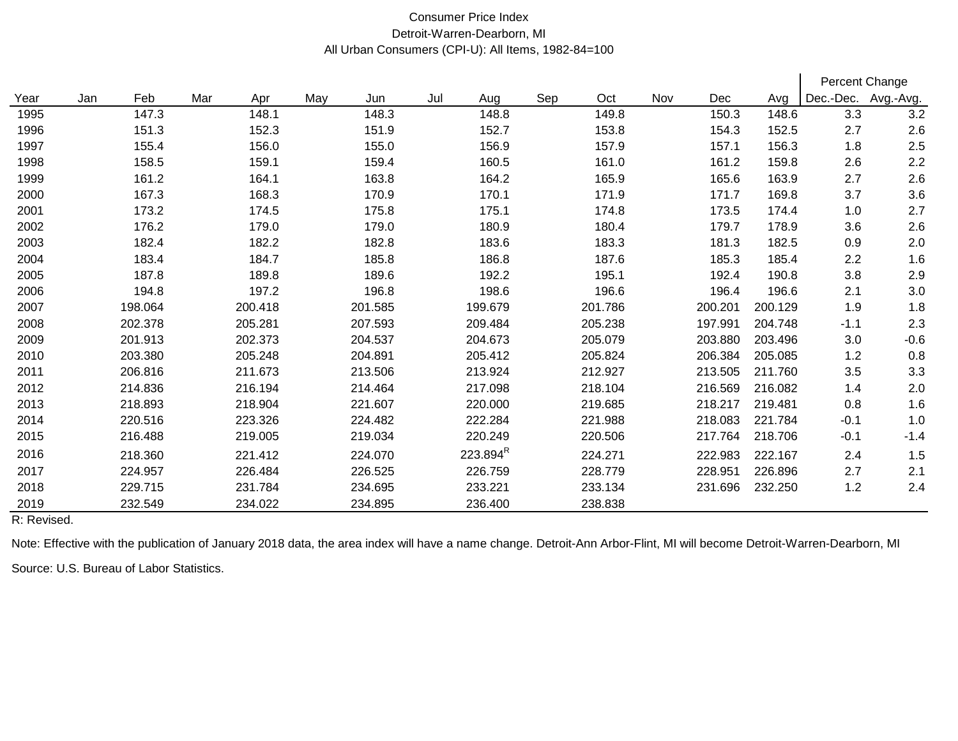## Consumer Price Index Detroit-Warren-Dearborn, MI All Urban Consumers (CPI-U): All Items, 1982-84=100

|      |     |         |     |         |     |         |     |                      |     |         |     |         |         | Percent Change      |        |  |
|------|-----|---------|-----|---------|-----|---------|-----|----------------------|-----|---------|-----|---------|---------|---------------------|--------|--|
| Year | Jan | Feb     | Mar | Apr     | May | Jun     | Jul | Aug                  | Sep | Oct     | Nov | Dec     | Avg     | Dec.-Dec. Avg.-Avg. |        |  |
| 1995 |     | 147.3   |     | 148.1   |     | 148.3   |     | 148.8                |     | 149.8   |     | 150.3   | 148.6   | 3.3                 | 3.2    |  |
| 1996 |     | 151.3   |     | 152.3   |     | 151.9   |     | 152.7                |     | 153.8   |     | 154.3   | 152.5   | 2.7                 | 2.6    |  |
| 1997 |     | 155.4   |     | 156.0   |     | 155.0   |     | 156.9                |     | 157.9   |     | 157.1   | 156.3   | 1.8                 | 2.5    |  |
| 1998 |     | 158.5   |     | 159.1   |     | 159.4   |     | 160.5                |     | 161.0   |     | 161.2   | 159.8   | 2.6                 | 2.2    |  |
| 1999 |     | 161.2   |     | 164.1   |     | 163.8   |     | 164.2                |     | 165.9   |     | 165.6   | 163.9   | 2.7                 | 2.6    |  |
| 2000 |     | 167.3   |     | 168.3   |     | 170.9   |     | 170.1                |     | 171.9   |     | 171.7   | 169.8   | 3.7                 | 3.6    |  |
| 2001 |     | 173.2   |     | 174.5   |     | 175.8   |     | 175.1                |     | 174.8   |     | 173.5   | 174.4   | 1.0                 | 2.7    |  |
| 2002 |     | 176.2   |     | 179.0   |     | 179.0   |     | 180.9                |     | 180.4   |     | 179.7   | 178.9   | 3.6                 | 2.6    |  |
| 2003 |     | 182.4   |     | 182.2   |     | 182.8   |     | 183.6                |     | 183.3   |     | 181.3   | 182.5   | 0.9                 | 2.0    |  |
| 2004 |     | 183.4   |     | 184.7   |     | 185.8   |     | 186.8                |     | 187.6   |     | 185.3   | 185.4   | 2.2                 | 1.6    |  |
| 2005 |     | 187.8   |     | 189.8   |     | 189.6   |     | 192.2                |     | 195.1   |     | 192.4   | 190.8   | 3.8                 | 2.9    |  |
| 2006 |     | 194.8   |     | 197.2   |     | 196.8   |     | 198.6                |     | 196.6   |     | 196.4   | 196.6   | 2.1                 | 3.0    |  |
| 2007 |     | 198.064 |     | 200.418 |     | 201.585 |     | 199.679              |     | 201.786 |     | 200.201 | 200.129 | 1.9                 | 1.8    |  |
| 2008 |     | 202.378 |     | 205.281 |     | 207.593 |     | 209.484              |     | 205.238 |     | 197.991 | 204.748 | $-1.1$              | 2.3    |  |
| 2009 |     | 201.913 |     | 202.373 |     | 204.537 |     | 204.673              |     | 205.079 |     | 203.880 | 203.496 | 3.0                 | $-0.6$ |  |
| 2010 |     | 203.380 |     | 205.248 |     | 204.891 |     | 205.412              |     | 205.824 |     | 206.384 | 205.085 | 1.2                 | 0.8    |  |
| 2011 |     | 206.816 |     | 211.673 |     | 213.506 |     | 213.924              |     | 212.927 |     | 213.505 | 211.760 | 3.5                 | 3.3    |  |
| 2012 |     | 214.836 |     | 216.194 |     | 214.464 |     | 217.098              |     | 218.104 |     | 216.569 | 216.082 | 1.4                 | 2.0    |  |
| 2013 |     | 218.893 |     | 218.904 |     | 221.607 |     | 220.000              |     | 219.685 |     | 218.217 | 219.481 | 0.8                 | 1.6    |  |
| 2014 |     | 220.516 |     | 223.326 |     | 224.482 |     | 222.284              |     | 221.988 |     | 218.083 | 221.784 | $-0.1$              | 1.0    |  |
| 2015 |     | 216.488 |     | 219.005 |     | 219.034 |     | 220.249              |     | 220.506 |     | 217.764 | 218.706 | $-0.1$              | $-1.4$ |  |
| 2016 |     | 218.360 |     | 221.412 |     | 224.070 |     | 223.894 <sup>R</sup> |     | 224.271 |     | 222.983 | 222.167 | 2.4                 | 1.5    |  |
| 2017 |     | 224.957 |     | 226.484 |     | 226.525 |     | 226.759              |     | 228.779 |     | 228.951 | 226.896 | 2.7                 | 2.1    |  |
| 2018 |     | 229.715 |     | 231.784 |     | 234.695 |     | 233.221              |     | 233.134 |     | 231.696 | 232.250 | 1.2                 | 2.4    |  |
| 2019 |     | 232.549 |     | 234.022 |     | 234.895 |     | 236.400              |     | 238.838 |     |         |         |                     |        |  |

R: Revised.

Note: Effective with the publication of January 2018 data, the area index will have a name change. Detroit-Ann Arbor-Flint, MI will become Detroit-Warren-Dearborn, MI

Source: U.S. Bureau of Labor Statistics.